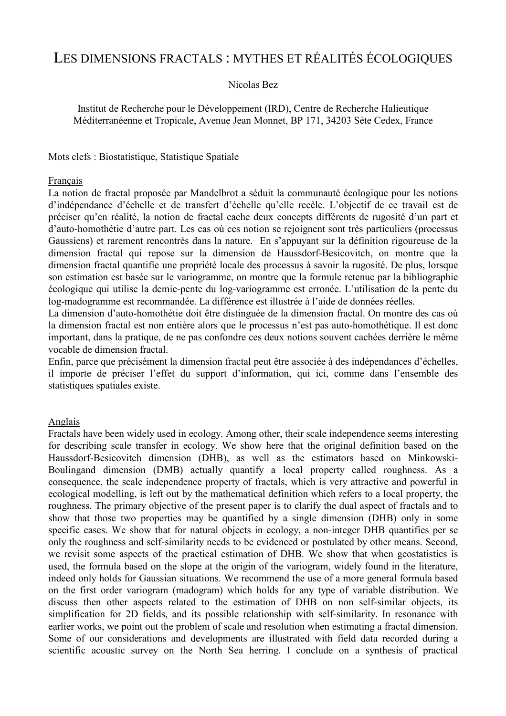# LES DIMENSIONS FRACTALS : MYTHES ET RÉALITÉS ÉCOLOGIQUES

### Nicolas Bez

Institut de Recherche pour le Développement (IRD), Centre de Recherche Halieutique Méditerranéenne et Tropicale, Avenue Jean Monnet, BP 171, 34203 Sète Cedex, France

Mots clefs : Biostatistique, Statistique Spatiale

#### Français

La notion de fractal proposée par Mandelbrot a séduit la communauté écologique pour les notions d'indépendance d'échelle et de transfert d'échelle qu'elle recèle. L'objectif de ce travail est de préciser qu'en réalité, la notion de fractal cache deux concepts différents de rugosité d'un part et d'auto-homothétie d'autre part. Les cas où ces notion se rejoignent sont très particuliers (processus Gaussiens) et rarement rencontrés dans la nature. En s'appuyant sur la définition rigoureuse de la dimension fractal qui repose sur la dimension de Haussdorf-Besicovitch, on montre que la dimension fractal quantifie une propriété locale des processus à savoir la rugosité. De plus, lorsque son estimation est basée sur le variogramme, on montre que la formule retenue par la bibliographie écologique qui utilise la demie-pente du log-variogramme est erronée. L'utilisation de la pente du log-madogramme est recommandée. La différence est illustrée à l'aide de données réelles.

La dimension d'auto-homothétie doit être distinguée de la dimension fractal. On montre des cas où la dimension fractal est non entière alors que le processus n'est pas auto-homothétique. Il est donc important, dans la pratique, de ne pas confondre ces deux notions souvent cachées derrière le même vocable de dimension fractal.

Enfin, parce que précisément la dimension fractal peut être associée à des indépendances d'échelles, il importe de préciser l'effet du support d'information, qui ici, comme dans l'ensemble des statistiques spatiales existe.

#### Anglais

Fractals have been widely used in ecology. Among other, their scale independence seems interesting for describing scale transfer in ecology. We show here that the original definition based on the Haussdorf-Besicovitch dimension (DHB), as well as the estimators based on Minkowski-Boulingand dimension (DMB) actually quantify a local property called roughness. As a consequence, the scale independence property of fractals, which is very attractive and powerful in ecological modelling, is left out by the mathematical definition which refers to a local property, the roughness. The primary objective of the present paper is to clarify the dual aspect of fractals and to show that those two properties may be quantified by a single dimension (DHB) only in some specific cases. We show that for natural objects in ecology, a non-integer DHB quantifies per se only the roughness and self-similarity needs to be evidenced or postulated by other means. Second, we revisit some aspects of the practical estimation of DHB. We show that when geostatistics is used, the formula based on the slope at the origin of the variogram, widely found in the literature, indeed only holds for Gaussian situations. We recommend the use of a more general formula based on the first order variogram (madogram) which holds for any type of variable distribution. We discuss then other aspects related to the estimation of DHB on non self-similar objects, its simplification for 2D fields, and its possible relationship with self-similarity. In resonance with earlier works, we point out the problem of scale and resolution when estimating a fractal dimension. Some of our considerations and developments are illustrated with field data recorded during a scientific acoustic survey on the North Sea herring. I conclude on a synthesis of practical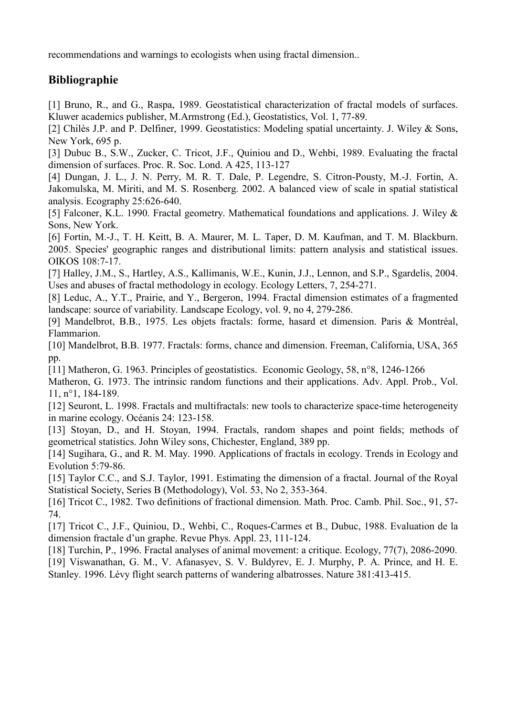recommendations and warnings to ecologists when using fractal dimension..

## **Bibliographie**

[1] Bruno, R., and G., Raspa, 1989. Geostatistical characterization of fractal models of surfaces. Kluwer academics publisher, M.Armstrong (Ed.), Geostatistics, Vol. 1, 77-89.

[2] Chilès J.P. and P. Delfiner, 1999. Geostatistics: Modeling spatial uncertainty. J. Wiley & Sons, New York, 695 p.

[3] Dubuc B., S.W., Zucker, C. Tricot, J.F., Quiniou and D., Wehbi, 1989. Evaluating the fractal dimension of surfaces. Proc. R. Soc. Lond. A 425, 113-127

[4] Dungan, J. L., J. N. Perry, M. R. T. Dale, P. Legendre, S. Citron-Pousty, M.-J. Fortin, A. Jakomulska, M. Miriti, and M. S. Rosenberg. 2002. A balanced view of scale in spatial statistical analysis. Ecography 25:626-640.

[5] Falconer, K.L. 1990. Fractal geometry. Mathematical foundations and applications. J. Wiley & Sons, New York.

[6] Fortin, M.-J., T. H. Keitt, B. A. Maurer, M. L. Taper, D. M. Kaufman, and T. M. Blackburn. 2005. Species' geographic ranges and distributional limits: pattern analysis and statistical issues. OIKOS 108:7-17.

[7] Halley, J.M., S., Hartley, A.S., Kallimanis, W.E., Kunin, J.J., Lennon, and S.P., Sgardelis, 2004. Uses and abuses of fractal methodology in ecology. Ecology Letters, 7, 254-271.

[8] Leduc, A., Y.T., Prairie, and Y., Bergeron, 1994. Fractal dimension estimates of a fragmented landscape: source of variability. Landscape Ecology, vol. 9, no 4, 279-286.

[9] Mandelbrot, B.B., 1975. Les objets fractals: forme, hasard et dimension. Paris & Montréal, Flammarion.

[10] Mandelbrot, B.B. 1977. Fractals: forms, chance and dimension. Freeman, California, USA, 365 pp.

[11] Matheron, G. 1963. Principles of geostatistics. Economic Geology, 58, n°8, 1246-1266

Matheron, G. 1973. The intrinsic random functions and their applications. Adv. Appl. Prob., Vol. 11, n°1, 184-189.

[12] Seuront, L. 1998. Fractals and multifractals: new tools to characterize space-time heterogeneity in marine ecology. Océanis 24: 123-158.

[13] Stoyan, D., and H. Stoyan, 1994. Fractals, random shapes and point fields; methods of geometrical statistics. John Wiley sons, Chichester, England, 389 pp.

[14] Sugihara, G., and R. M. May. 1990. Applications of fractals in ecology. Trends in Ecology and Evolution 5:79-86.

[15] Taylor C.C., and S.J. Taylor, 1991. Estimating the dimension of a fractal. Journal of the Royal Statistical Society, Series B (Methodology), Vol. 53, No 2, 353-364.

[16] Tricot C., 1982. Two definitions of fractional dimension. Math. Proc. Camb. Phil. Soc., 91, 57-74.

[17] Tricot C., J.F., Quiniou, D., Wehbi, C., Roques-Carmes et B., Dubuc, 1988. Evaluation de la dimension fractale d'un graphe. Revue Phys. Appl. 23, 111-124.

[18] Turchin, P., 1996. Fractal analyses of animal movement: a critique. Ecology, 77(7), 2086-2090.

[19] Viswanathan, G. M., V. Afanasyev, S. V. Buldyrev, E. J. Murphy, P. A. Prince, and H. E. Stanley. 1996. Lévy flight search patterns of wandering albatrosses. Nature 381:413-415.